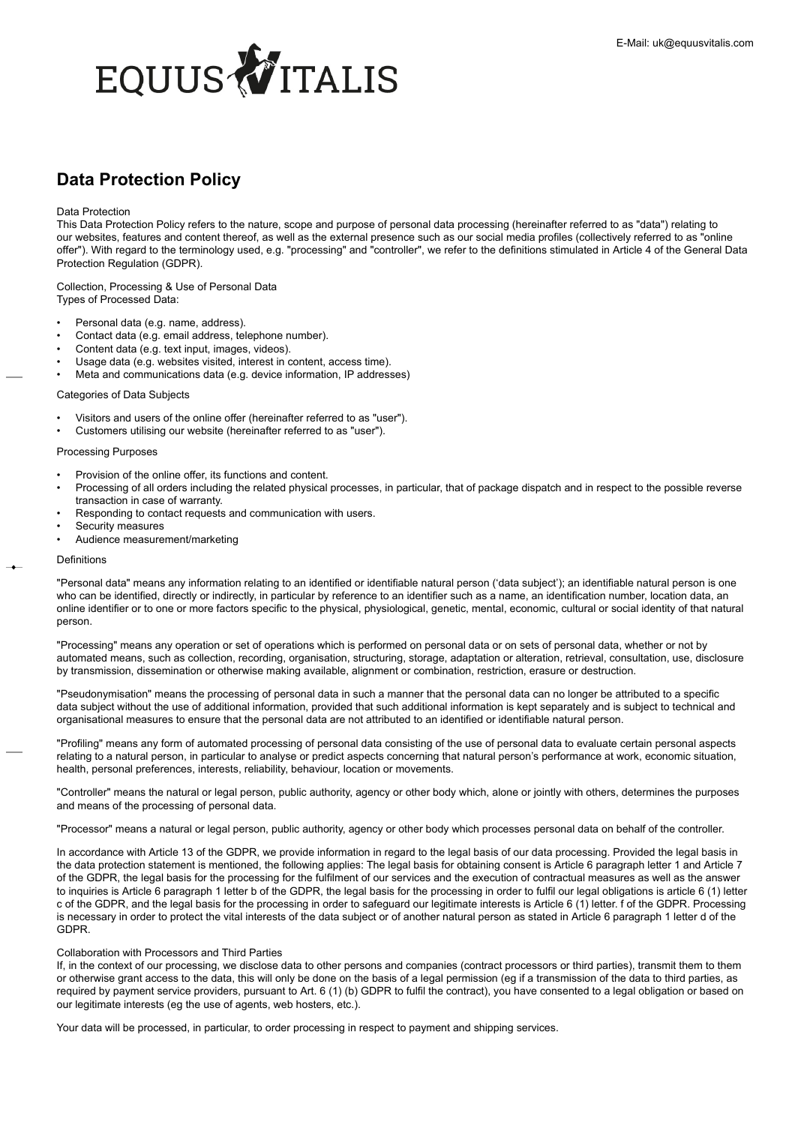# <span id="page-0-0"></span>EQUUS VITALIS

# **Data Protection Policy**

# Data Protection

This Data Protection Policy refers to the nature, scope and purpose of personal data processing (hereinafter referred to as "data") relating to our websites, features and content thereof, as well as the external presence such as our social media profiles (collectively referred to as "online offer"). With regard to the terminology used, e.g. "processing" and "controller", we refer to the definitions stimulated in Article 4 of the General Data Protection Regulation (GDPR).

Collection, Processing & Use of Personal Data Types of Processed Data:

- Personal data (e.g. name, address).
- Contact data (e.g. email address, telephone number).
- Content data (e.g. text input, images, videos).
- Usage data (e.g. websites visited, interest in content, access time).
- Meta and communications data (e.g. device information, IP addresses)

# Categories of Data Subjects

- Visitors and users of the online offer (hereinafter referred to as "user").
- Customers utilising our website (hereinafter referred to as "user").

# Processing Purposes

- Provision of the online offer, its functions and content.
- Processing of all orders including the related physical processes, in particular, that of package dispatch and in respect to the possible reverse transaction in case of warranty.
- Responding to contact requests and communication with users.
- Security measures
- Audience measurement/marketing

### Definitions

"Personal data" means any information relating to an identified or identifiable natural person ('data subject'); an identifiable natural person is one who can be identified, directly or indirectly, in particular by reference to an identifier such as a name, an identification number, location data, an online identifier or to one or more factors specific to the physical, physiological, genetic, mental, economic, cultural or social identity of that natural person.

"Processing" means any operation or set of operations which is performed on personal data or on sets of personal data, whether or not by automated means, such as collection, recording, organisation, structuring, storage, adaptation or alteration, retrieval, consultation, use, disclosure by transmission, dissemination or otherwise making available, alignment or combination, restriction, erasure or destruction.

"Pseudonymisation" means the processing of personal data in such a manner that the personal data can no longer be attributed to a specific data subject without the use of additional information, provided that such additional information is kept separately and is subject to technical and organisational measures to ensure that the personal data are not attributed to an identified or identifiable natural person.

"Profiling" means any form of automated processing of personal data consisting of the use of personal data to evaluate certain personal aspects relating to a natural person, in particular to analyse or predict aspects concerning that natural person's performance at work, economic situation, health, personal preferences, interests, reliability, behaviour, location or movements.

"Controller" means the natural or legal person, public authority, agency or other body which, alone or jointly with others, determines the purposes and means of the processing of personal data.

"Processor" means a natural or legal person, public authority, agency or other body which processes personal data on behalf of the controller.

In accordance with Article 13 of the GDPR, we provide information in regard to the legal basis of our data processing. Provided the legal basis in the data protection statement is mentioned, the following applies: The legal basis for obtaining consent is Article 6 paragraph letter 1 and Article 7 of the GDPR, the legal basis for the processing for the fulfilment of our services and the execution of contractual measures as well as the answer to inquiries is Article 6 paragraph 1 letter b of the GDPR, the legal basis for the processing in order to fulfil our legal obligations is article 6 (1) letter c of the GDPR, and the legal basis for the processing in order to safeguard our legitimate interests is Article 6 (1) letter. f of the GDPR. Processing is necessary in order to protect the vital interests of the data subject or of another natural person as stated in Article 6 paragraph 1 letter d of the GDPR.

# Collaboration with Processors and Third Parties

If, in the context of our processing, we disclose data to other persons and companies (contract processors or third parties), transmit them to them or otherwise grant access to the data, this will only be done on the basis of a legal permission (eg if a transmission of the data to third parties, as required by payment service providers, pursuant to Art. 6 (1) (b) GDPR to fulfil the contract), you have consented to a legal obligation or based on our legitimate interests (eg the use of agents, web hosters, etc.).

Your data will be processed, in particular, to order processing in respect to payment and shipping services.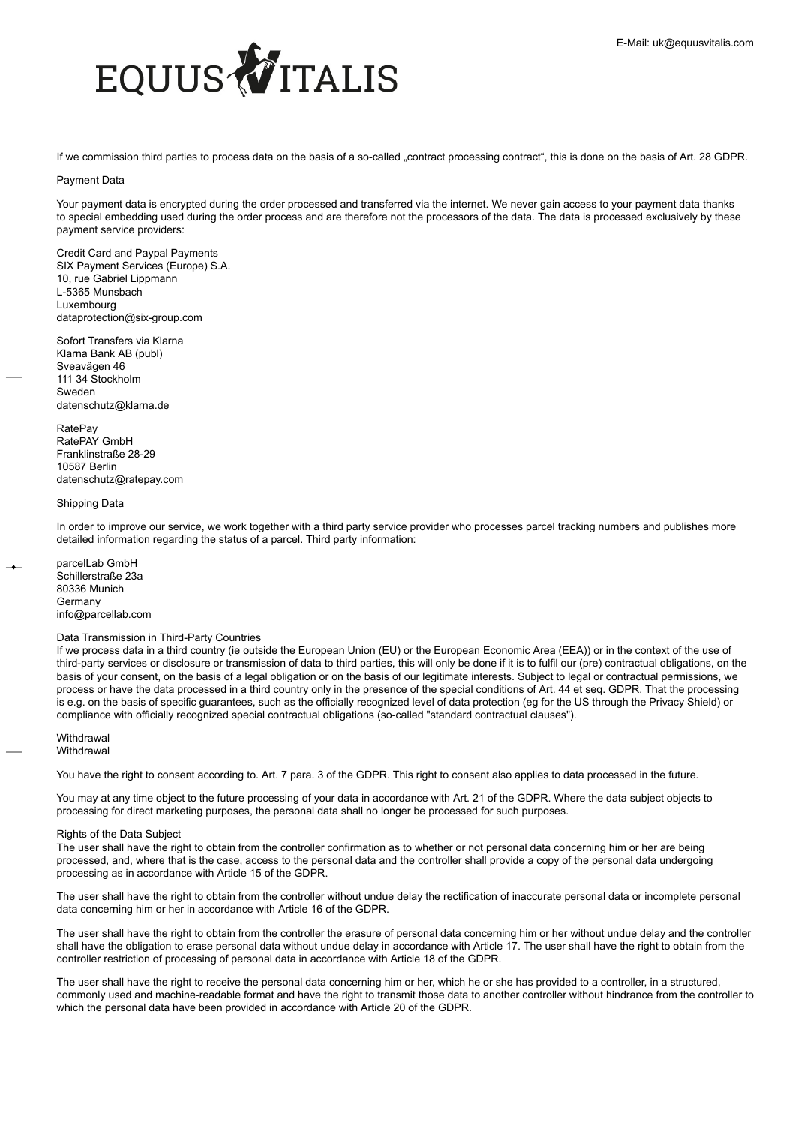

If we commission third parties to process data on the basis of a so-called "contract processing contract", this is done on the basis of Art. 28 GDPR.

# Payment Data

Your payment data is encrypted during the order processed and transferred via the internet. We never gain access to your payment data thanks to special embedding used during the order process and are therefore not the processors of the data. The data is processed exclusively by these payment service providers:

Credit Card and Paypal Payments SIX Payment Services (Europe) S.A. 10, rue Gabriel Lippmann L-5365 Munsbach Luxembourg dataprotection@six-group.com

Sofort Transfers via Klarna Klarna Bank AB (publ) Sveavägen 46 111 34 Stockholm Sweden datenschutz@klarna.de

RatePay RatePAY GmbH Franklinstraße 28-29 10587 Berlin datenschutz@ratepay.com

# Shipping Data

In order to improve our service, we work together with a third party service provider who processes parcel tracking numbers and publishes more detailed information regarding the status of a parcel. Third party information:

parcelLab GmbH Schillerstraße 23a 80336 Munich **Germany** info@parcellab.com

# Data Transmission in Third-Party Countries

If we process data in a third country (ie outside the European Union (EU) or the European Economic Area (EEA)) or in the context of the use of third-party services or disclosure or transmission of data to third parties, this will only be done if it is to fulfil our (pre) contractual obligations, on the basis of your consent, on the basis of a legal obligation or on the basis of our legitimate interests. Subject to legal or contractual permissions, we process or have the data processed in a third country only in the presence of the special conditions of Art. 44 et seq. GDPR. That the processing is e.g. on the basis of specific guarantees, such as the officially recognized level of data protection (eg for the US through the Privacy Shield) or compliance with officially recognized special contractual obligations (so-called "standard contractual clauses").

**Withdrawal Withdrawal** 

You have the right to consent according to. Art. 7 para. 3 of the GDPR. This right to consent also applies to data processed in the future.

You may at any time object to the future processing of your data in accordance with Art. 21 of the GDPR. Where the data subject objects to processing for direct marketing purposes, the personal data shall no longer be processed for such purposes.

### Rights of the Data Subject

The user shall have the right to obtain from the controller confirmation as to whether or not personal data concerning him or her are being processed, and, where that is the case, access to the personal data and the controller shall provide a copy of the personal data undergoing processing as in accordance with Article 15 of the GDPR.

The user shall have the right to obtain from the controller without undue delay the rectification of inaccurate personal data or incomplete personal data concerning him or her in accordance with Article 16 of the GDPR.

The user shall have the right to obtain from the controller the erasure of personal data concerning him or her without undue delay and the controller shall have the obligation to erase personal data without undue delay in accordance with Article 17. The user shall have the right to obtain from the controller restriction of processing of personal data in accordance with Article 18 of the GDPR.

The user shall have the right to receive the personal data concerning him or her, which he or she has provided to a controller, in a structured, commonly used and machine-readable format and have the right to transmit those data to another controller without hindrance from the controller to which the personal data have been provided in accordance with Article 20 of the GDPR.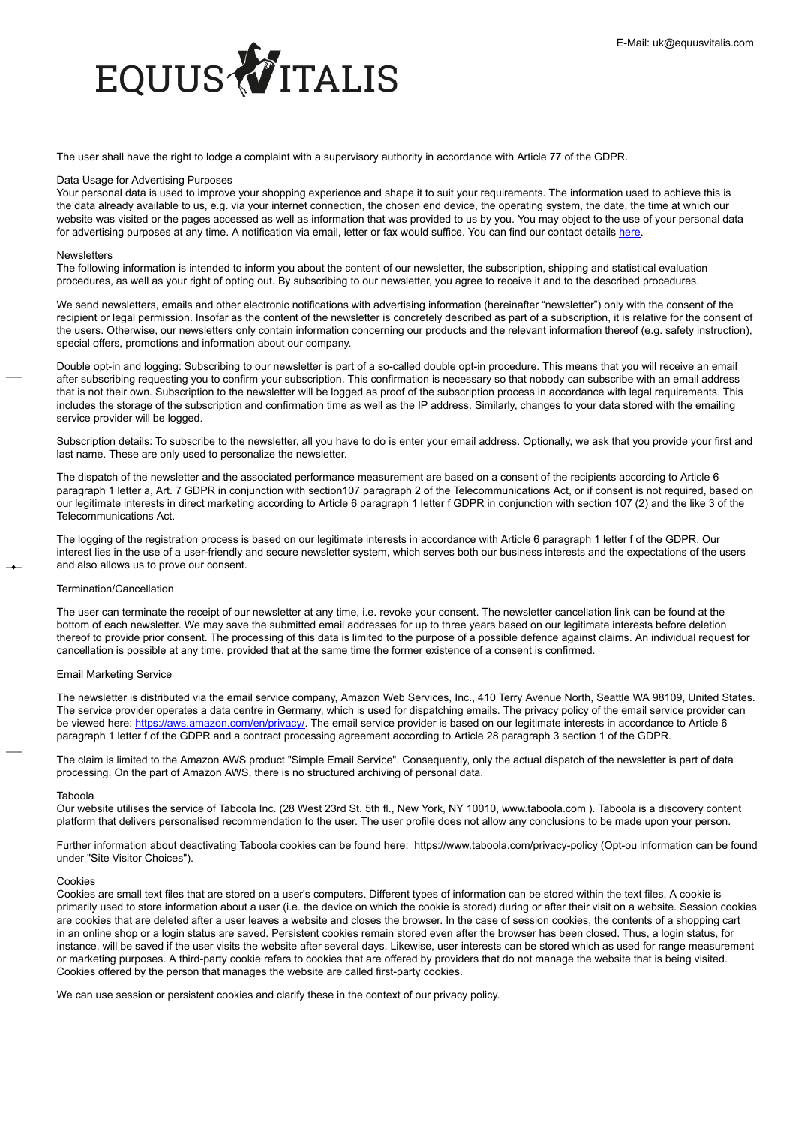

The user shall have the right to lodge a complaint with a supervisory authority in accordance with Article 77 of the GDPR.

### Data Usage for Advertising Purposes

Your personal data is used to improve your shopping experience and shape it to suit your requirements. The information used to achieve this is the data already available to us, e.g. via your internet connection, the chosen end device, the operating system, the date, the time at which our website was visited or the pages accessed as well as information that was provided to us by you. You may object to the use of your personal data for advertising purposes at any time. A notification via email, letter or fax would suffice. You can find our contact details [here](http://https://www.equusvitalis.at/info/kontakt).

# Newsletters

The following information is intended to inform you about the content of our newsletter, the subscription, shipping and statistical evaluation procedures, as well as your right of opting out. By subscribing to our newsletter, you agree to receive it and to the described procedures.

We send newsletters, emails and other electronic notifications with advertising information (hereinafter "newsletter") only with the consent of the recipient or legal permission. Insofar as the content of the newsletter is concretely described as part of a subscription, it is relative for the consent of the users. Otherwise, our newsletters only contain information concerning our products and the relevant information thereof (e.g. safety instruction), special offers, promotions and information about our company.

Double opt-in and logging: Subscribing to our newsletter is part of a so-called double opt-in procedure. This means that you will receive an email after subscribing requesting you to confirm your subscription. This confirmation is necessary so that nobody can subscribe with an email address that is not their own. Subscription to the newsletter will be logged as proof of the subscription process in accordance with legal requirements. This includes the storage of the subscription and confirmation time as well as the IP address. Similarly, changes to your data stored with the emailing service provider will be logged.

Subscription details: To subscribe to the newsletter, all you have to do is enter your email address. Optionally, we ask that you provide your first and last name. These are only used to personalize the newsletter.

The dispatch of the newsletter and the associated performance measurement are based on a consent of the recipients according to Article 6 paragraph 1 letter a, Art. 7 GDPR in conjunction with section107 paragraph 2 of the Telecommunications Act, or if consent is not required, based on our legitimate interests in direct marketing according to Article 6 paragraph 1 letter f GDPR in conjunction with section 107 (2) and the like 3 of the Telecommunications Act.

The logging of the registration process is based on our legitimate interests in accordance with Article 6 paragraph 1 letter f of the GDPR. Our interest lies in the use of a user-friendly and secure newsletter system, which serves both our business interests and the expectations of the users and also allows us to prove our consent.

### Termination/Cancellation

The user can terminate the receipt of our newsletter at any time, i.e. revoke your consent. The newsletter cancellation link can be found at the bottom of each newsletter. We may save the submitted email addresses for up to three years based on our legitimate interests before deletion thereof to provide prior consent. The processing of this data is limited to the purpose of a possible defence against claims. An individual request for cancellation is possible at any time, provided that at the same time the former existence of a consent is confirmed.

### Email Marketing Service

The newsletter is distributed via the email service company, Amazon Web Services, Inc., 410 Terry Avenue North, Seattle WA 98109, United States. The service provider operates a data centre in Germany, which is used for dispatching emails. The privacy policy of the email service provider can be viewed here: [https://aws.amazon.com/en/privacy/](https://aws.amazon.com/privacy/?nc1=h_ls). The email service provider is based on our legitimate interests in accordance to Article 6 paragraph 1 letter f of the GDPR and a contract processing agreement according to Article 28 paragraph 3 section 1 of the GDPR.

The claim is limited to the Amazon AWS product "Simple Email Service". Consequently, only the actual dispatch of the newsletter is part of data processing. On the part of Amazon AWS, there is no structured archiving of personal data.

### Taboola

Our website utilises the service of Taboola Inc. (28 West 23rd St. 5th fl., New York, NY 10010, www.taboola.com ). Taboola is a discovery content platform that delivers personalised recommendation to the user. The user profile does not allow any conclusions to be made upon your person.

Further information about deactivating Taboola cookies can be found here: https://www.taboola.com/privacy-policy (Opt-ou information can be found under "Site Visitor Choices").

# Cookies

Cookies are small text files that are stored on a user's computers. Different types of information can be stored within the text files. A cookie is primarily used to store information about a user (i.e. the device on which the cookie is stored) during or after their visit on a website. Session cookies are cookies that are deleted after a user leaves a website and closes the browser. In the case of session cookies, the contents of a shopping cart in an online shop or a login status are saved. Persistent cookies remain stored even after the browser has been closed. Thus, a login status, for instance, will be saved if the user visits the website after several days. Likewise, user interests can be stored which as used for range measurement or marketing purposes. A third-party cookie refers to cookies that are offered by providers that do not manage the website that is being visited. Cookies offered by the person that manages the website are called first-party cookies.

We can use session or persistent cookies and clarify these in the context of our privacy policy.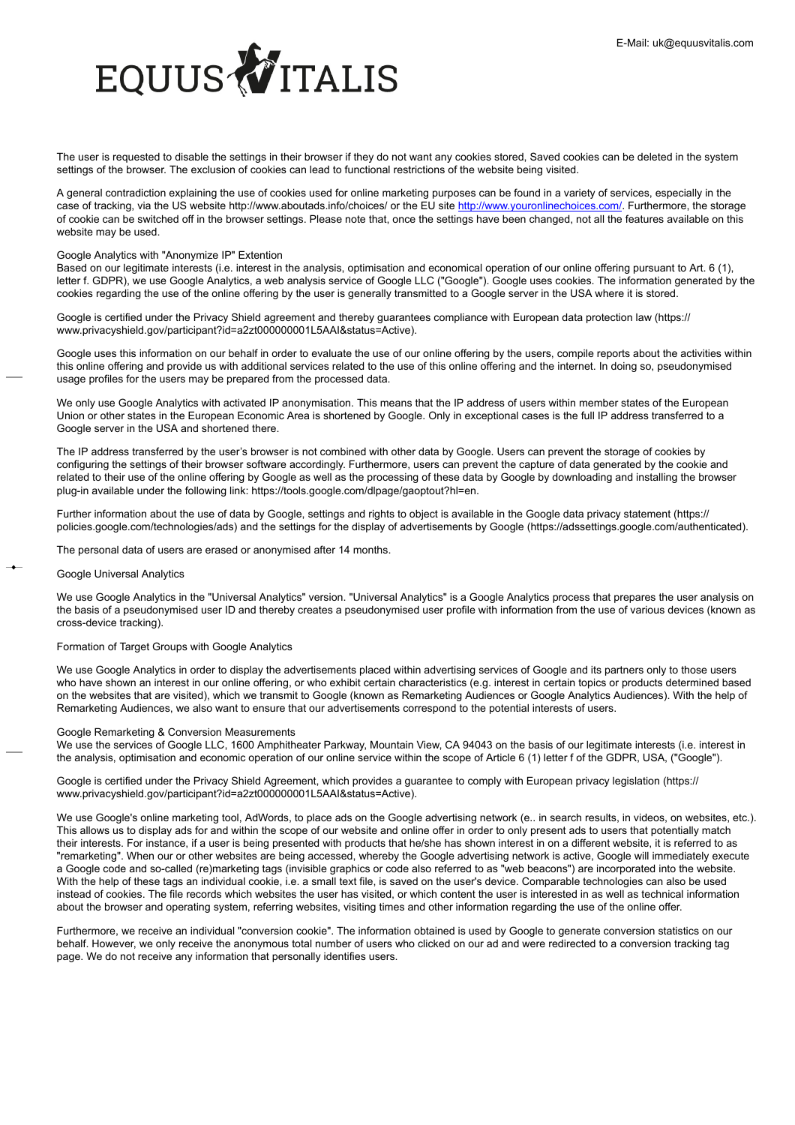

The user is requested to disable the settings in their browser if they do not want any cookies stored, Saved cookies can be deleted in the system settings of the browser. The exclusion of cookies can lead to functional restrictions of the website being visited.

A general contradiction explaining the use of cookies used for online marketing purposes can be found in a variety of services, especially in the case of tracking, via the US website http://www.aboutads.info/choices/ or the EU site [http://www.youronlinechoices.com/](https://www.youronlinechoices.com/). Furthermore, the storage of cookie can be switched off in the browser settings. Please note that, once the settings have been changed, not all the features available on this website may be used.

# Google Analytics with "Anonymize IP" Extention

Based on our legitimate interests (i.e. interest in the analysis, optimisation and economical operation of our online offering pursuant to Art. 6 (1), letter f. GDPR), we use Google Analytics, a web analysis service of Google LLC ("Google"). Google uses cookies. The information generated by the cookies regarding the use of the online offering by the user is generally transmitted to a Google server in the USA where it is stored.

Google is certified under the Privacy Shield agreement and thereby guarantees compliance with European data protection law (https:// www.privacyshield.gov/participant?id=a2zt000000001L5AAI&status=Active).

Google uses this information on our behalf in order to evaluate the use of our online offering by the users, compile reports about the activities within this online offering and provide us with additional services related to the use of this online offering and the internet. In doing so, pseudonymised usage profiles for the users may be prepared from the processed data.

We only use Google Analytics with activated IP anonymisation. This means that the IP address of users within member states of the European Union or other states in the European Economic Area is shortened by Google. Only in exceptional cases is the full IP address transferred to a Google server in the USA and shortened there.

The IP address transferred by the user's browser is not combined with other data by Google. Users can prevent the storage of cookies by configuring the settings of their browser software accordingly. Furthermore, users can prevent the capture of data generated by the cookie and related to their use of the online offering by Google as well as the processing of these data by Google by downloading and installing the browser plug-in available under the following link: https://tools.google.com/dlpage/gaoptout?hl=en.

Further information about the use of data by Google, settings and rights to object is available in the Google data privacy statement (https:// policies.google.com/technologies/ads) and the settings for the display of advertisements by Google (https://adssettings.google.com/authenticated).

The personal data of users are erased or anonymised after 14 months.

# Google Universal Analytics

We use Google Analytics in the "Universal Analytics" version. "Universal Analytics" is a Google Analytics process that prepares the user analysis on the basis of a pseudonymised user ID and thereby creates a pseudonymised user profile with information from the use of various devices (known as cross-device tracking).

# Formation of Target Groups with Google Analytics

We use Google Analytics in order to display the advertisements placed within advertising services of Google and its partners only to those users who have shown an interest in our online offering, or who exhibit certain characteristics (e.g. interest in certain topics or products determined based on the websites that are visited), which we transmit to Google (known as Remarketing Audiences or Google Analytics Audiences). With the help of Remarketing Audiences, we also want to ensure that our advertisements correspond to the potential interests of users.

# Google Remarketing & Conversion Measurements

We use the services of Google LLC, 1600 Amphitheater Parkway, Mountain View, CA 94043 on the basis of our legitimate interests (i.e. interest in the analysis, optimisation and economic operation of our online service within the scope of Article 6 (1) letter f of the GDPR, USA, ("Google").

Google is certified under the Privacy Shield Agreement, which provides a guarantee to comply with European privacy legislation (https:// www.privacyshield.gov/participant?id=a2zt000000001L5AAI&status=Active).

We use Google's online marketing tool, AdWords, to place ads on the Google advertising network (e.. in search results, in videos, on websites, etc.). This allows us to display ads for and within the scope of our website and online offer in order to only present ads to users that potentially match their interests. For instance, if a user is being presented with products that he/she has shown interest in on a different website, it is referred to as "remarketing". When our or other websites are being accessed, whereby the Google advertising network is active, Google will immediately execute a Google code and so-called (re)marketing tags (invisible graphics or code also referred to as "web beacons") are incorporated into the website. With the help of these tags an individual cookie, i.e. a small text file, is saved on the user's device. Comparable technologies can also be used instead of cookies. The file records which websites the user has visited, or which content the user is interested in as well as technical information about the browser and operating system, referring websites, visiting times and other information regarding the use of the online offer.

Furthermore, we receive an individual "conversion cookie". The information obtained is used by Google to generate conversion statistics on our behalf. However, we only receive the anonymous total number of users who clicked on our ad and were redirected to a conversion tracking tag page. We do not receive any information that personally identifies users.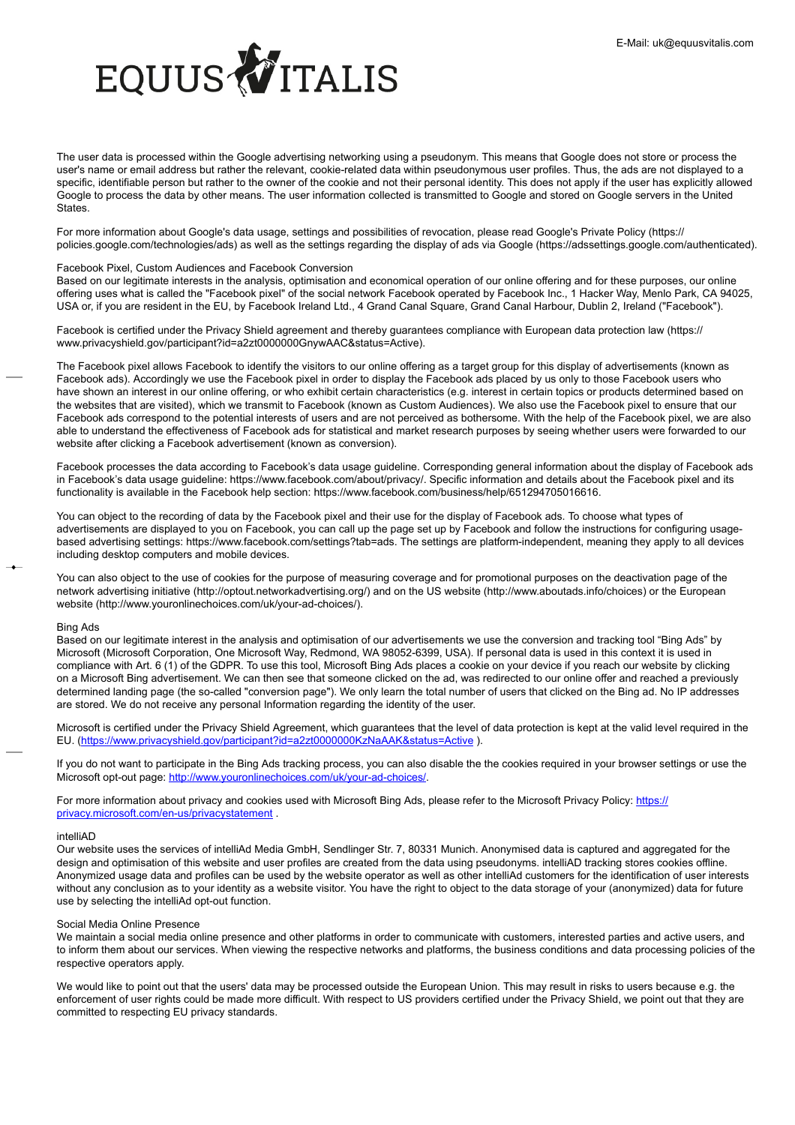

The user data is processed within the Google advertising networking using a pseudonym. This means that Google does not store or process the user's name or email address but rather the relevant, cookie-related data within pseudonymous user profiles. Thus, the ads are not displayed to a specific, identifiable person but rather to the owner of the cookie and not their personal identity. This does not apply if the user has explicitly allowed Google to process the data by other means. The user information collected is transmitted to Google and stored on Google servers in the United **States** 

For more information about Google's data usage, settings and possibilities of revocation, please read Google's Private Policy (https:// policies.google.com/technologies/ads) as well as the settings regarding the display of ads via Google (https://adssettings.google.com/authenticated).

# Facebook Pixel, Custom Audiences and Facebook Conversion

Based on our legitimate interests in the analysis, optimisation and economical operation of our online offering and for these purposes, our online offering uses what is called the "Facebook pixel" of the social network Facebook operated by Facebook Inc., 1 Hacker Way, Menlo Park, CA 94025, USA or, if you are resident in the EU, by Facebook Ireland Ltd., 4 Grand Canal Square, Grand Canal Harbour, Dublin 2, Ireland ("Facebook").

Facebook is certified under the Privacy Shield agreement and thereby guarantees compliance with European data protection law (https:// www.privacyshield.gov/participant?id=a2zt0000000GnywAAC&status=Active).

The Facebook pixel allows Facebook to identify the visitors to our online offering as a target group for this display of advertisements (known as Facebook ads). Accordingly we use the Facebook pixel in order to display the Facebook ads placed by us only to those Facebook users who have shown an interest in our online offering, or who exhibit certain characteristics (e.g. interest in certain topics or products determined based on the websites that are visited), which we transmit to Facebook (known as Custom Audiences). We also use the Facebook pixel to ensure that our Facebook ads correspond to the potential interests of users and are not perceived as bothersome. With the help of the Facebook pixel, we are also able to understand the effectiveness of Facebook ads for statistical and market research purposes by seeing whether users were forwarded to our website after clicking a Facebook advertisement (known as conversion).

Facebook processes the data according to Facebook's data usage guideline. Corresponding general information about the display of Facebook ads in Facebook's data usage guideline: https://www.facebook.com/about/privacy/. Specific information and details about the Facebook pixel and its functionality is available in the Facebook help section: https://www.facebook.com/business/help/651294705016616.

You can object to the recording of data by the Facebook pixel and their use for the display of Facebook ads. To choose what types of advertisements are displayed to you on Facebook, you can call up the page set up by Facebook and follow the instructions for configuring usagebased advertising settings: https://www.facebook.com/settings?tab=ads. The settings are platform-independent, meaning they apply to all devices including desktop computers and mobile devices.

You can also object to the use of cookies for the purpose of measuring coverage and for promotional purposes on the deactivation page of the network advertising initiative (http://optout.networkadvertising.org/) and on the US website (http://www.aboutads.info/choices) or the European website (http://www.youronlinechoices.com/uk/your-ad-choices/).

### Bing Ads

Based on our legitimate interest in the analysis and optimisation of our advertisements we use the conversion and tracking tool "Bing Ads" by Microsoft (Microsoft Corporation, One Microsoft Way, Redmond, WA 98052-6399, USA). If personal data is used in this context it is used in compliance with Art. 6 (1) of the GDPR. To use this tool, Microsoft Bing Ads places a cookie on your device if you reach our website by clicking on a Microsoft Bing advertisement. We can then see that someone clicked on the ad, was redirected to our online offer and reached a previously determined landing page (the so-called "conversion page"). We only learn the total number of users that clicked on the Bing ad. No IP addresses are stored. We do not receive any personal Information regarding the identity of the user.

Microsoft is certified under the Privacy Shield Agreement, which guarantees that the level of data protection is kept at the valid level required in the EU. (<https://www.privacyshield.gov/participant?id=a2zt0000000KzNaAAK&status=Active> ).

If you do not want to participate in the Bing Ads tracking process, you can also disable the the cookies required in your browser settings or use the Microsoft opt-out page: [http://www.youronlinechoices.com/uk/your-ad-choices/.](http://www.youronlinechoices.com/uk/your-ad-choices/)

For more information about privacy and cookies used with Microsoft Bing Ads, please refer to the Microsoft Privacy Policy: [https://](https://privacy.microsoft.com/de-de/privacystatement) [privacy.microsoft.com/en-us/privacystatement](https://privacy.microsoft.com/de-de/privacystatement) .

### intelliAD

Our website uses the services of intelliAd Media GmbH, Sendlinger Str. 7, 80331 Munich. Anonymised data is captured and aggregated for the design and optimisation of this website and user profiles are created from the data using pseudonyms. intelliAD tracking stores cookies offline. Anonymized usage data and profiles can be used by the website operator as well as other intelliAd customers for the identification of user interests without any conclusion as to your identity as a website visitor. You have the right to object to the data storage of your (anonymized) data for future use by selecting the intelliAd opt-out function.

# Social Media Online Presence

We maintain a social media online presence and other platforms in order to communicate with customers, interested parties and active users, and to inform them about our services. When viewing the respective networks and platforms, the business conditions and data processing policies of the respective operators apply.

We would like to point out that the users' data may be processed outside the European Union. This may result in risks to users because e.g. the enforcement of user rights could be made more difficult. With respect to US providers certified under the Privacy Shield, we point out that they are committed to respecting EU privacy standards.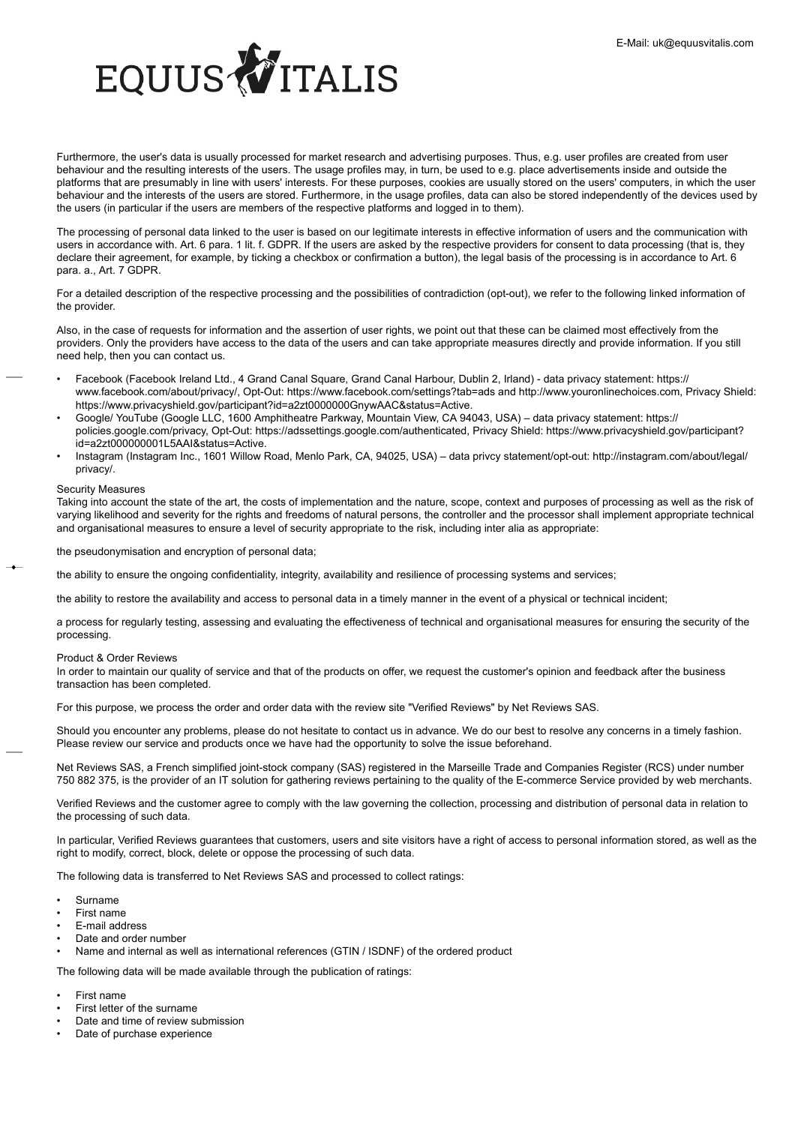

Furthermore, the user's data is usually processed for market research and advertising purposes. Thus, e.g. user profiles are created from user behaviour and the resulting interests of the users. The usage profiles may, in turn, be used to e.g. place advertisements inside and outside the platforms that are presumably in line with users' interests. For these purposes, cookies are usually stored on the users' computers, in which the user behaviour and the interests of the users are stored. Furthermore, in the usage profiles, data can also be stored independently of the devices used by the users (in particular if the users are members of the respective platforms and logged in to them).

The processing of personal data linked to the user is based on our legitimate interests in effective information of users and the communication with users in accordance with. Art. 6 para. 1 lit. f. GDPR. If the users are asked by the respective providers for consent to data processing (that is, they declare their agreement, for example, by ticking a checkbox or confirmation a button), the legal basis of the processing is in accordance to Art. 6 para. a., Art. 7 GDPR.

For a detailed description of the respective processing and the possibilities of contradiction (opt-out), we refer to the following linked information of the provider.

Also, in the case of requests for information and the assertion of user rights, we point out that these can be claimed most effectively from the providers. Only the providers have access to the data of the users and can take appropriate measures directly and provide information. If you still need help, then you can contact us.

- Facebook (Facebook Ireland Ltd., 4 Grand Canal Square, Grand Canal Harbour, Dublin 2, Irland) data privacy statement: https:// www.facebook.com/about/privacy/, Opt-Out: https://www.facebook.com/settings?tab=ads and http://www.youronlinechoices.com, Privacy Shield: https://www.privacyshield.gov/participant?id=a2zt0000000GnywAAC&status=Active.
- Google/ YouTube (Google LLC, 1600 Amphitheatre Parkway, Mountain View, CA 94043, USA) data privacy statement: https:// policies.google.com/privacy, Opt-Out: https://adssettings.google.com/authenticated, Privacy Shield: https://www.privacyshield.gov/participant? id=a2zt000000001L5AAI&status=Active.
- Instagram (Instagram Inc., 1601 Willow Road, Menlo Park, CA, 94025, USA) data privcy statement/opt-out: http://instagram.com/about/legal/ privacy/.

# Security Measures

Taking into account the state of the art, the costs of implementation and the nature, scope, context and purposes of processing as well as the risk of varying likelihood and severity for the rights and freedoms of natural persons, the controller and the processor shall implement appropriate technical and organisational measures to ensure a level of security appropriate to the risk, including inter alia as appropriate:

the pseudonymisation and encryption of personal data;

the ability to ensure the ongoing confidentiality, integrity, availability and resilience of processing systems and services;

the ability to restore the availability and access to personal data in a timely manner in the event of a physical or technical incident;

a process for regularly testing, assessing and evaluating the effectiveness of technical and organisational measures for ensuring the security of the processing.

# Product & Order Reviews

In order to maintain our quality of service and that of the products on offer, we request the customer's opinion and feedback after the business transaction has been completed.

For this purpose, we process the order and order data with the review site "Verified Reviews" by Net Reviews SAS.

Should you encounter any problems, please do not hesitate to contact us in advance. We do our best to resolve any concerns in a timely fashion. Please review our service and products once we have had the opportunity to solve the issue beforehand.

Net Reviews SAS, a French simplified joint-stock company (SAS) registered in the Marseille Trade and Companies Register (RCS) under number 750 882 375, is the provider of an IT solution for gathering reviews pertaining to the quality of the E-commerce Service provided by web merchants.

Verified Reviews and the customer agree to comply with the law governing the collection, processing and distribution of personal data in relation to the processing of such data.

In particular, Verified Reviews guarantees that customers, users and site visitors have a right of access to personal information stored, as well as the right to modify, correct, block, delete or oppose the processing of such data.

The following data is transferred to Net Reviews SAS and processed to collect ratings:

- Surname
- First name
- E-mail address
- Date and order number
- Name and internal as well as international references (GTIN / ISDNF) of the ordered product

The following data will be made available through the publication of ratings:

- First name
- First letter of the surname
- Date and time of review submission
- Date of purchase experience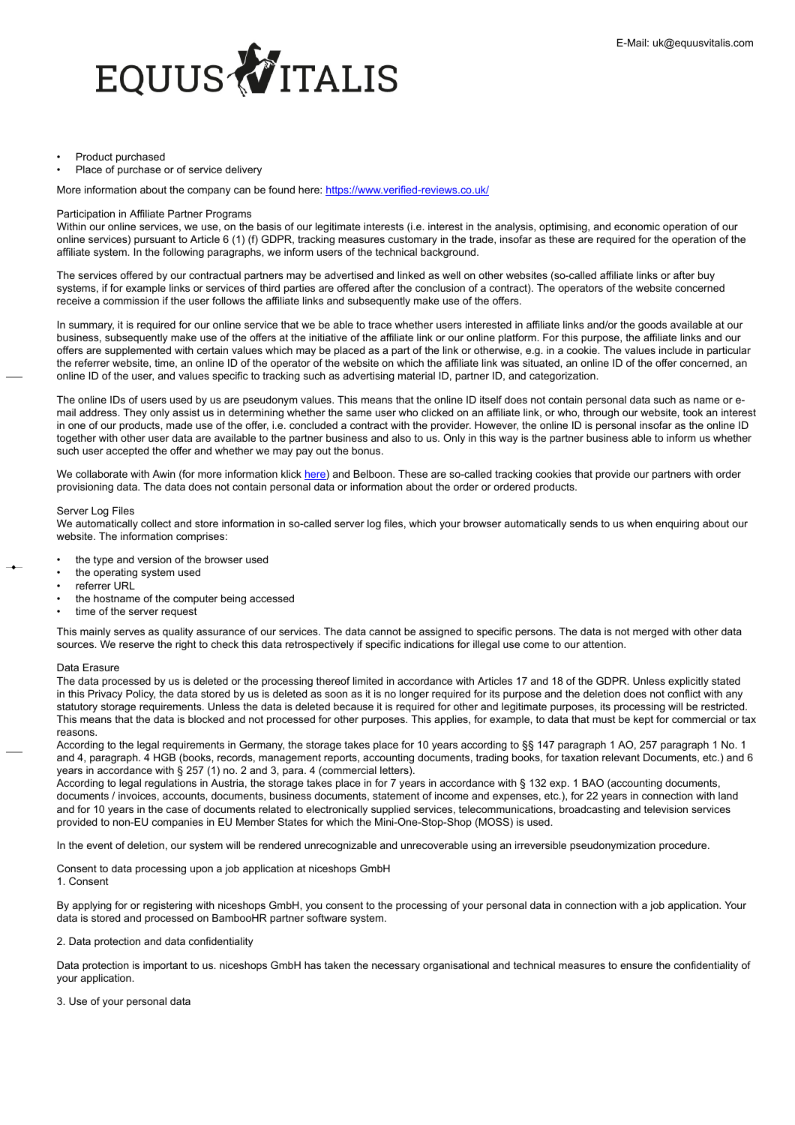

### • Product purchased

Place of purchase or of service delivery

More information about the company can be found here: <https://www.verified-reviews.co.uk/>

### Participation in Affiliate Partner Programs

Within our online services, we use, on the basis of our legitimate interests (i.e. interest in the analysis, optimising, and economic operation of our online services) pursuant to Article 6 (1) (f) GDPR, tracking measures customary in the trade, insofar as these are required for the operation of the affiliate system. In the following paragraphs, we inform users of the technical background.

The services offered by our contractual partners may be advertised and linked as well on other websites (so-called affiliate links or after buy systems, if for example links or services of third parties are offered after the conclusion of a contract). The operators of the website concerned receive a commission if the user follows the affiliate links and subsequently make use of the offers.

In summary, it is required for our online service that we be able to trace whether users interested in affiliate links and/or the goods available at our business, subsequently make use of the offers at the initiative of the affiliate link or our online platform. For this purpose, the affiliate links and our offers are supplemented with certain values which may be placed as a part of the link or otherwise, e.g. in a cookie. The values include in particular the referrer website, time, an online ID of the operator of the website on which the affiliate link was situated, an online ID of the offer concerned, an online ID of the user, and values specific to tracking such as advertising material ID, partner ID, and categorization.

The online IDs of users used by us are pseudonym values. This means that the online ID itself does not contain personal data such as name or email address. They only assist us in determining whether the same user who clicked on an affiliate link, or who, through our website, took an interest in one of our products, made use of the offer, i.e. concluded a contract with the provider. However, the online ID is personal insofar as the online ID together with other user data are available to the partner business and also to us. Only in this way is the partner business able to inform us whether such user accepted the offer and whether we may pay out the bonus.

We collaborate with Awin (for more information klick [here\)](#page-0-0) and Belboon. These are so-called tracking cookies that provide our partners with order provisioning data. The data does not contain personal data or information about the order or ordered products.

### Server Log Files

We automatically collect and store information in so-called server log files, which your browser automatically sends to us when enquiring about our website. The information comprises:

- the type and version of the browser used
- the operating system used
- referrer URL
- the hostname of the computer being accessed
- time of the server request

This mainly serves as quality assurance of our services. The data cannot be assigned to specific persons. The data is not merged with other data sources. We reserve the right to check this data retrospectively if specific indications for illegal use come to our attention.

# Data Erasure

The data processed by us is deleted or the processing thereof limited in accordance with Articles 17 and 18 of the GDPR. Unless explicitly stated in this Privacy Policy, the data stored by us is deleted as soon as it is no longer required for its purpose and the deletion does not conflict with any statutory storage requirements. Unless the data is deleted because it is required for other and legitimate purposes, its processing will be restricted. This means that the data is blocked and not processed for other purposes. This applies, for example, to data that must be kept for commercial or tax reasons.

According to the legal requirements in Germany, the storage takes place for 10 years according to §§ 147 paragraph 1 AO, 257 paragraph 1 No. 1 and 4, paragraph. 4 HGB (books, records, management reports, accounting documents, trading books, for taxation relevant Documents, etc.) and 6 years in accordance with § 257 (1) no. 2 and 3, para. 4 (commercial letters).

According to legal regulations in Austria, the storage takes place in for 7 years in accordance with § 132 exp. 1 BAO (accounting documents, documents / invoices, accounts, documents, business documents, statement of income and expenses, etc.), for 22 years in connection with land and for 10 years in the case of documents related to electronically supplied services, telecommunications, broadcasting and television services provided to non-EU companies in EU Member States for which the Mini-One-Stop-Shop (MOSS) is used.

In the event of deletion, our system will be rendered unrecognizable and unrecoverable using an irreversible pseudonymization procedure.

Consent to data processing upon a job application at niceshops GmbH 1. Consent

By applying for or registering with niceshops GmbH, you consent to the processing of your personal data in connection with a job application. Your data is stored and processed on BambooHR partner software system.

# 2. Data protection and data confidentiality

Data protection is important to us. niceshops GmbH has taken the necessary organisational and technical measures to ensure the confidentiality of your application.

3. Use of your personal data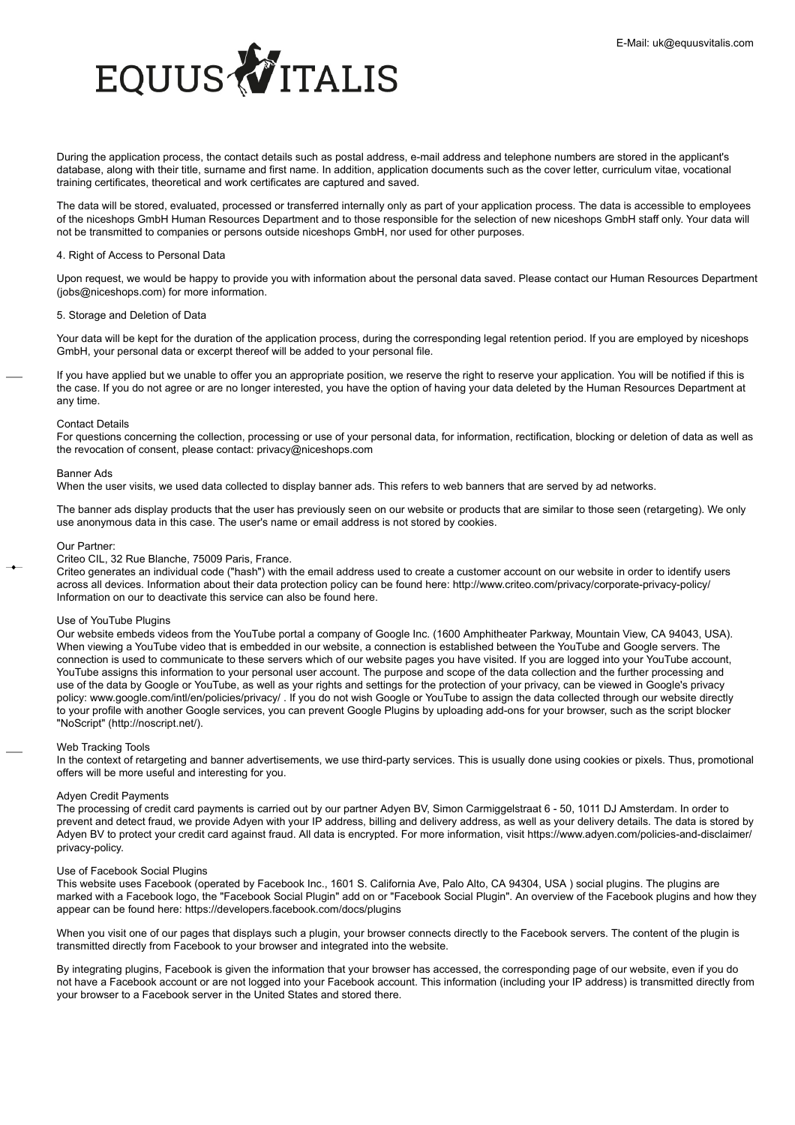

During the application process, the contact details such as postal address, e-mail address and telephone numbers are stored in the applicant's database, along with their title, surname and first name. In addition, application documents such as the cover letter, curriculum vitae, vocational training certificates, theoretical and work certificates are captured and saved.

The data will be stored, evaluated, processed or transferred internally only as part of your application process. The data is accessible to employees of the niceshops GmbH Human Resources Department and to those responsible for the selection of new niceshops GmbH staff only. Your data will not be transmitted to companies or persons outside niceshops GmbH, nor used for other purposes.

# 4. Right of Access to Personal Data

Upon request, we would be happy to provide you with information about the personal data saved. Please contact our Human Resources Department (jobs@niceshops.com) for more information.

# 5. Storage and Deletion of Data

Your data will be kept for the duration of the application process, during the corresponding legal retention period. If you are employed by niceshops GmbH, your personal data or excerpt thereof will be added to your personal file.

If you have applied but we unable to offer you an appropriate position, we reserve the right to reserve your application. You will be notified if this is the case. If you do not agree or are no longer interested, you have the option of having your data deleted by the Human Resources Department at any time.

### Contact Details

For questions concerning the collection, processing or use of your personal data, for information, rectification, blocking or deletion of data as well as the revocation of consent, please contact: privacy@niceshops.com

# Banner Ads

When the user visits, we used data collected to display banner ads. This refers to web banners that are served by ad networks.

The banner ads display products that the user has previously seen on our website or products that are similar to those seen (retargeting). We only use anonymous data in this case. The user's name or email address is not stored by cookies.

### Our Partner:

Criteo CIL, 32 Rue Blanche, 75009 Paris, France.

Criteo generates an individual code ("hash") with the email address used to create a customer account on our website in order to identify users across all devices. Information about their data protection policy can be found here: http://www.criteo.com/privacy/corporate-privacy-policy/ Information on our to deactivate this service can also be found here.

# Use of YouTube Plugins

Our website embeds videos from the YouTube portal a company of Google Inc. (1600 Amphitheater Parkway, Mountain View, CA 94043, USA). When viewing a YouTube video that is embedded in our website, a connection is established between the YouTube and Google servers. The connection is used to communicate to these servers which of our website pages you have visited. If you are logged into your YouTube account, YouTube assigns this information to your personal user account. The purpose and scope of the data collection and the further processing and use of the data by Google or YouTube, as well as your rights and settings for the protection of your privacy, can be viewed in Google's privacy policy: www.google.com/intl/en/policies/privacy/ . If you do not wish Google or YouTube to assign the data collected through our website directly to your profile with another Google services, you can prevent Google Plugins by uploading add-ons for your browser, such as the script blocker "NoScript" (http://noscript.net/).

### Web Tracking Tools

In the context of retargeting and banner advertisements, we use third-party services. This is usually done using cookies or pixels. Thus, promotional offers will be more useful and interesting for you.

# Adyen Credit Payments

The processing of credit card payments is carried out by our partner Adyen BV, Simon Carmiggelstraat 6 - 50, 1011 DJ Amsterdam. In order to prevent and detect fraud, we provide Adyen with your IP address, billing and delivery address, as well as your delivery details. The data is stored by Adyen BV to protect your credit card against fraud. All data is encrypted. For more information, visit https://www.adyen.com/policies-and-disclaimer/ privacy-policy.

# Use of Facebook Social Plugins

This website uses Facebook (operated by Facebook Inc., 1601 S. California Ave, Palo Alto, CA 94304, USA ) social plugins. The plugins are marked with a Facebook logo, the "Facebook Social Plugin" add on or "Facebook Social Plugin". An overview of the Facebook plugins and how they appear can be found here: https://developers.facebook.com/docs/plugins

When you visit one of our pages that displays such a plugin, your browser connects directly to the Facebook servers. The content of the plugin is transmitted directly from Facebook to your browser and integrated into the website.

By integrating plugins, Facebook is given the information that your browser has accessed, the corresponding page of our website, even if you do not have a Facebook account or are not logged into your Facebook account. This information (including your IP address) is transmitted directly from your browser to a Facebook server in the United States and stored there.